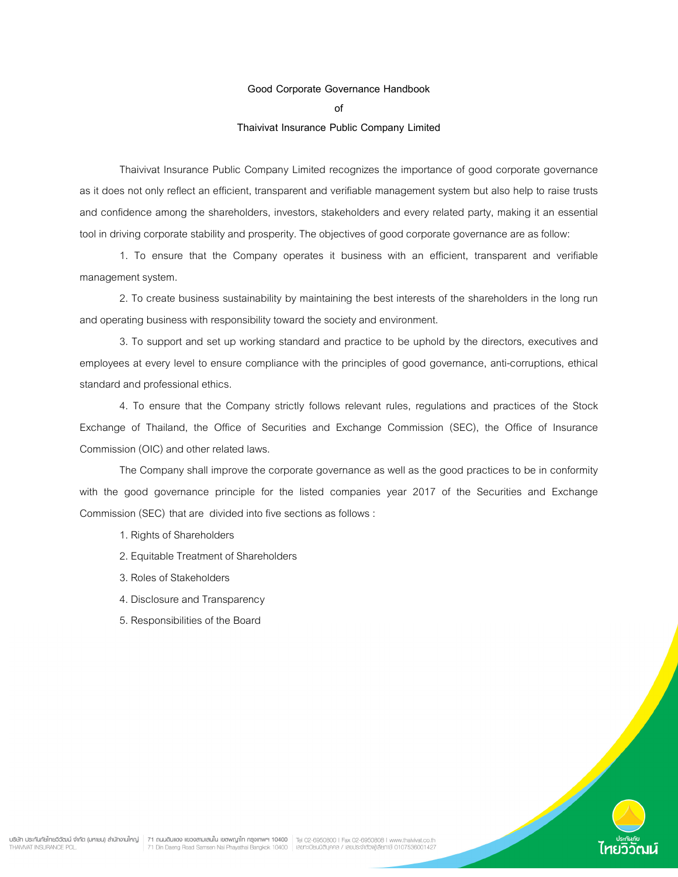### Good Corporate Governance Handbook

of

## Thaivivat Insurance Public Company Limited

 Thaivivat Insurance Public Company Limited recognizes the importance of good corporate governance as it does not only reflect an efficient, transparent and verifiable management system but also help to raise trusts and confidence among the shareholders, investors, stakeholders and every related party, making it an essential tool in driving corporate stability and prosperity. The objectives of good corporate governance are as follow:

 1. To ensure that the Company operates it business with an efficient, transparent and verifiable management system.

 2. To create business sustainability by maintaining the best interests of the shareholders in the long run and operating business with responsibility toward the society and environment.

 3. To support and set up working standard and practice to be uphold by the directors, executives and employees at every level to ensure compliance with the principles of good governance, anti-corruptions, ethical standard and professional ethics.

 4. To ensure that the Company strictly follows relevant rules, regulations and practices of the Stock Exchange of Thailand, the Office of Securities and Exchange Commission (SEC), the Office of Insurance Commission (OIC) and other related laws.

 The Company shall improve the corporate governance as well as the good practices to be in conformity with the good governance principle for the listed companies year 2017 of the Securities and Exchange Commission (SEC) that are divided into five sections as follows :

- 1. Rights of Shareholders
- 2. Equitable Treatment of Shareholders
- 3. Roles of Stakeholders
- 4. Disclosure and Transparency
- 5. Responsibilities of the Board

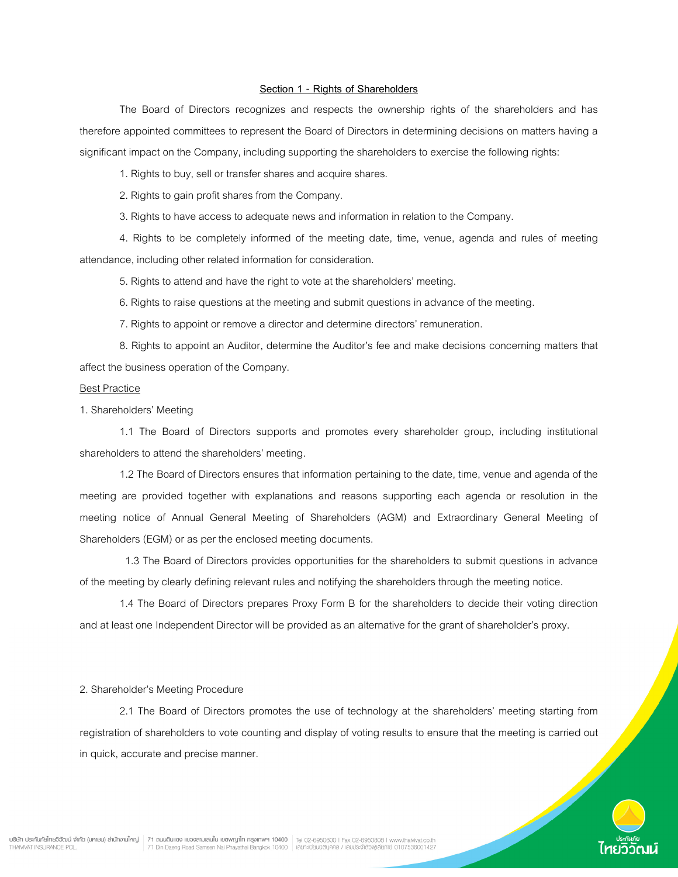## Section 1 - Rights of Shareholders

 The Board of Directors recognizes and respects the ownership rights of the shareholders and has therefore appointed committees to represent the Board of Directors in determining decisions on matters having a significant impact on the Company, including supporting the shareholders to exercise the following rights:

1. Rights to buy, sell or transfer shares and acquire shares.

2. Rights to gain profit shares from the Company.

3. Rights to have access to adequate news and information in relation to the Company.

 4. Rights to be completely informed of the meeting date, time, venue, agenda and rules of meeting attendance, including other related information for consideration.

5. Rights to attend and have the right to vote at the shareholders' meeting.

6. Rights to raise questions at the meeting and submit questions in advance of the meeting.

7. Rights to appoint or remove a director and determine directors' remuneration.

 8. Rights to appoint an Auditor, determine the Auditor's fee and make decisions concerning matters that affect the business operation of the Company.

#### Best Practice

1. Shareholders' Meeting

 1.1 The Board of Directors supports and promotes every shareholder group, including institutional shareholders to attend the shareholders' meeting.

 1.2 The Board of Directors ensures that information pertaining to the date, time, venue and agenda of the meeting are provided together with explanations and reasons supporting each agenda or resolution in the meeting notice of Annual General Meeting of Shareholders (AGM) and Extraordinary General Meeting of Shareholders (EGM) or as per the enclosed meeting documents.

 1.3 The Board of Directors provides opportunities for the shareholders to submit questions in advance of the meeting by clearly defining relevant rules and notifying the shareholders through the meeting notice.

 1.4 The Board of Directors prepares Proxy Form B for the shareholders to decide their voting direction and at least one Independent Director will be provided as an alternative for the grant of shareholder's proxy.

#### 2. Shareholder's Meeting Procedure

 2.1 The Board of Directors promotes the use of technology at the shareholders' meeting starting from registration of shareholders to vote counting and display of voting results to ensure that the meeting is carried out in quick, accurate and precise manner.

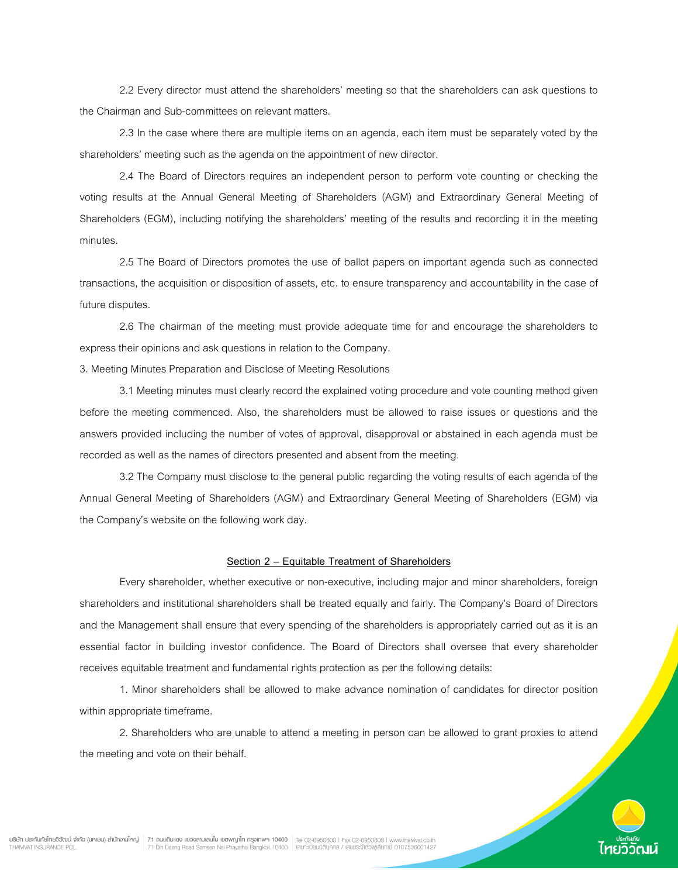2.2 Every director must attend the shareholders' meeting so that the shareholders can ask questions to the Chairman and Sub-committees on relevant matters.

 2.3 In the case where there are multiple items on an agenda, each item must be separately voted by the shareholders' meeting such as the agenda on the appointment of new director.

 2.4 The Board of Directors requires an independent person to perform vote counting or checking the voting results at the Annual General Meeting of Shareholders (AGM) and Extraordinary General Meeting of Shareholders (EGM), including notifying the shareholders' meeting of the results and recording it in the meeting minutes.

 2.5 The Board of Directors promotes the use of ballot papers on important agenda such as connected transactions, the acquisition or disposition of assets, etc. to ensure transparency and accountability in the case of future disputes.

 2.6 The chairman of the meeting must provide adequate time for and encourage the shareholders to express their opinions and ask questions in relation to the Company.

3. Meeting Minutes Preparation and Disclose of Meeting Resolutions

 3.1 Meeting minutes must clearly record the explained voting procedure and vote counting method given before the meeting commenced. Also, the shareholders must be allowed to raise issues or questions and the answers provided including the number of votes of approval, disapproval or abstained in each agenda must be recorded as well as the names of directors presented and absent from the meeting.

 3.2 The Company must disclose to the general public regarding the voting results of each agenda of the Annual General Meeting of Shareholders (AGM) and Extraordinary General Meeting of Shareholders (EGM) via the Company's website on the following work day.

#### Section 2 – Equitable Treatment of Shareholders

 Every shareholder, whether executive or non-executive, including major and minor shareholders, foreign shareholders and institutional shareholders shall be treated equally and fairly. The Company's Board of Directors and the Management shall ensure that every spending of the shareholders is appropriately carried out as it is an essential factor in building investor confidence. The Board of Directors shall oversee that every shareholder receives equitable treatment and fundamental rights protection as per the following details:

 1. Minor shareholders shall be allowed to make advance nomination of candidates for director position within appropriate timeframe.

 2. Shareholders who are unable to attend a meeting in person can be allowed to grant proxies to attend the meeting and vote on their behalf.

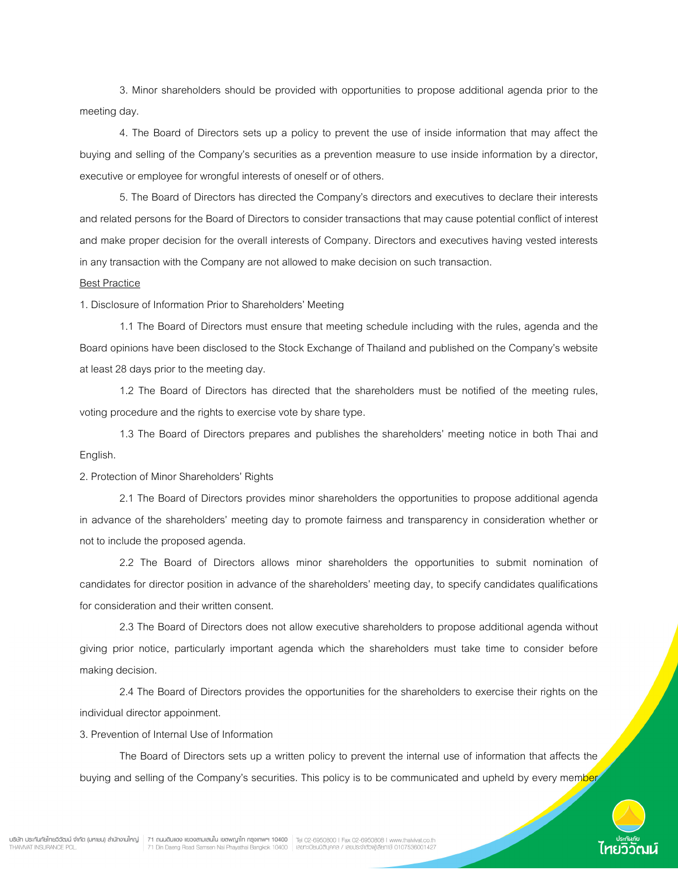3. Minor shareholders should be provided with opportunities to propose additional agenda prior to the meeting day.

 4. The Board of Directors sets up a policy to prevent the use of inside information that may affect the buying and selling of the Company's securities as a prevention measure to use inside information by a director, executive or employee for wrongful interests of oneself or of others.

 5. The Board of Directors has directed the Company's directors and executives to declare their interests and related persons for the Board of Directors to consider transactions that may cause potential conflict of interest and make proper decision for the overall interests of Company. Directors and executives having vested interests in any transaction with the Company are not allowed to make decision on such transaction.

### Best Practice

1. Disclosure of Information Prior to Shareholders' Meeting

 1.1 The Board of Directors must ensure that meeting schedule including with the rules, agenda and the Board opinions have been disclosed to the Stock Exchange of Thailand and published on the Company's website at least 28 days prior to the meeting day.

 1.2 The Board of Directors has directed that the shareholders must be notified of the meeting rules, voting procedure and the rights to exercise vote by share type.

 1.3 The Board of Directors prepares and publishes the shareholders' meeting notice in both Thai and English.

2. Protection of Minor Shareholders' Rights

 2.1 The Board of Directors provides minor shareholders the opportunities to propose additional agenda in advance of the shareholders' meeting day to promote fairness and transparency in consideration whether or not to include the proposed agenda.

 2.2 The Board of Directors allows minor shareholders the opportunities to submit nomination of candidates for director position in advance of the shareholders' meeting day, to specify candidates qualifications for consideration and their written consent.

 2.3 The Board of Directors does not allow executive shareholders to propose additional agenda without giving prior notice, particularly important agenda which the shareholders must take time to consider before making decision.

 2.4 The Board of Directors provides the opportunities for the shareholders to exercise their rights on the individual director appoinment.

3. Prevention of Internal Use of Information

 The Board of Directors sets up a written policy to prevent the internal use of information that affects the buying and selling of the Company's securities. This policy is to be communicated and upheld by every member

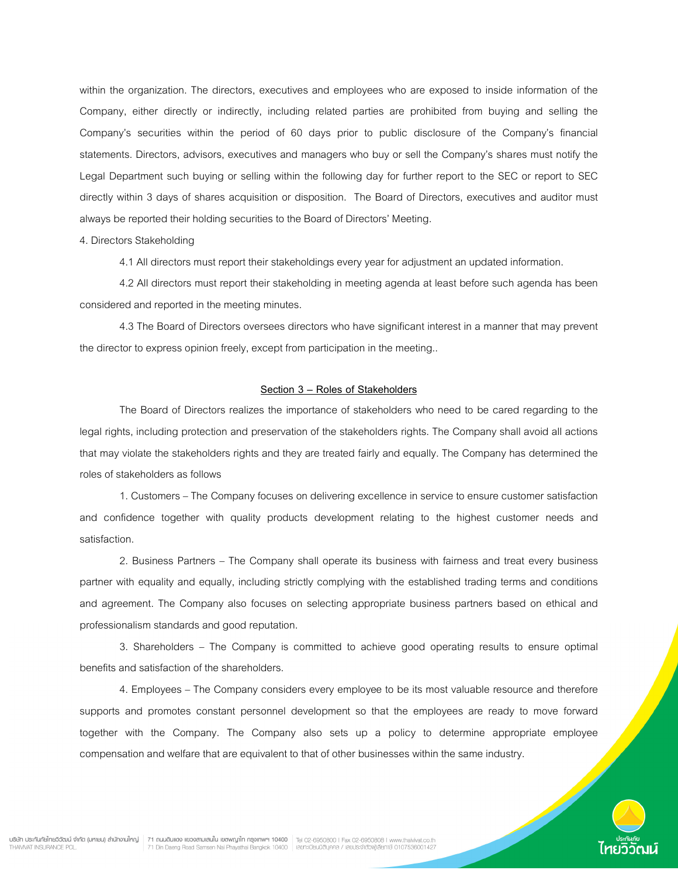within the organization. The directors, executives and employees who are exposed to inside information of the Company, either directly or indirectly, including related parties are prohibited from buying and selling the Company's securities within the period of 60 days prior to public disclosure of the Company's financial statements. Directors, advisors, executives and managers who buy or sell the Company's shares must notify the Legal Department such buying or selling within the following day for further report to the SEC or report to SEC directly within 3 days of shares acquisition or disposition. The Board of Directors, executives and auditor must always be reported their holding securities to the Board of Directors' Meeting.

### 4. Directors Stakeholding

4.1 All directors must report their stakeholdings every year for adjustment an updated information.

 4.2 All directors must report their stakeholding in meeting agenda at least before such agenda has been considered and reported in the meeting minutes.

 4.3 The Board of Directors oversees directors who have significant interest in a manner that may prevent the director to express opinion freely, except from participation in the meeting..

# Section 3 – Roles of Stakeholders

 The Board of Directors realizes the importance of stakeholders who need to be cared regarding to the legal rights, including protection and preservation of the stakeholders rights. The Company shall avoid all actions that may violate the stakeholders rights and they are treated fairly and equally. The Company has determined the roles of stakeholders as follows

 1. Customers – The Company focuses on delivering excellence in service to ensure customer satisfaction and confidence together with quality products development relating to the highest customer needs and satisfaction.

 2. Business Partners – The Company shall operate its business with fairness and treat every business partner with equality and equally, including strictly complying with the established trading terms and conditions and agreement. The Company also focuses on selecting appropriate business partners based on ethical and professionalism standards and good reputation.

 3. Shareholders – The Company is committed to achieve good operating results to ensure optimal benefits and satisfaction of the shareholders.

 4. Employees – The Company considers every employee to be its most valuable resource and therefore supports and promotes constant personnel development so that the employees are ready to move forward together with the Company. The Company also sets up a policy to determine appropriate employee compensation and welfare that are equivalent to that of other businesses within the same industry.

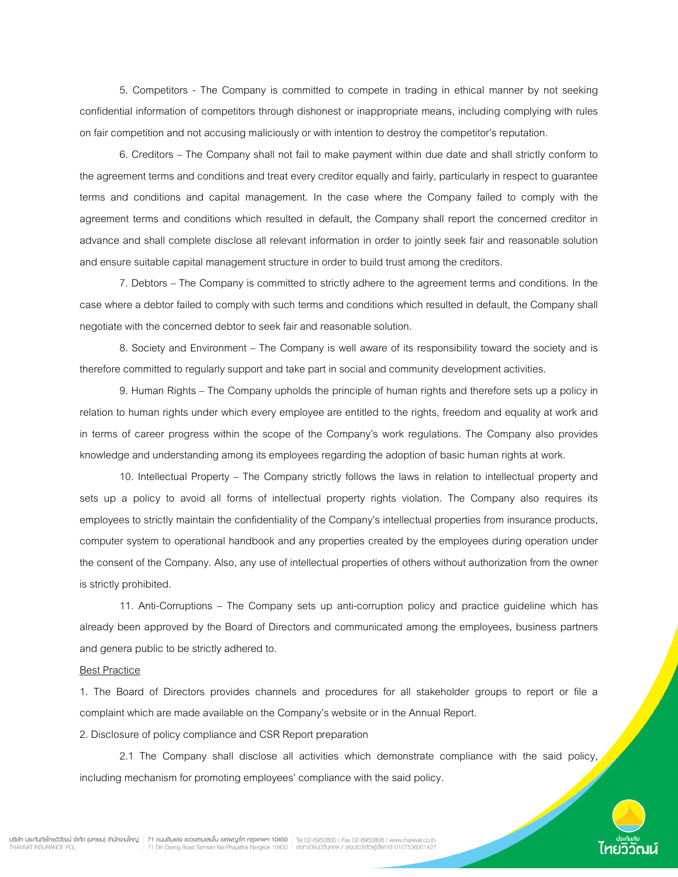5. Competitors - The Company is committed to compete in trading in ethical manner by not seeking confidential information of competitors through dishonest or inappropriate means, including complying with rules on fair competition and not accusing maliciously or with intention to destroy the competitor's reputation.

 6. Creditors – The Company shall not fail to make payment within due date and shall strictly conform to the agreement terms and conditions and treat every creditor equally and fairly, particularly in respect to guarantee terms and conditions and capital management. In the case where the Company failed to comply with the agreement terms and conditions which resulted in default, the Company shall report the concerned creditor in advance and shall complete disclose all relevant information in order to jointly seek fair and reasonable solution and ensure suitable capital management structure in order to build trust among the creditors.

 7. Debtors – The Company is committed to strictly adhere to the agreement terms and conditions. In the case where a debtor failed to comply with such terms and conditions which resulted in default, the Company shall negotiate with the concerned debtor to seek fair and reasonable solution.

 8. Society and Environment – The Company is well aware of its responsibility toward the society and is therefore committed to regularly support and take part in social and community development activities.

 9. Human Rights – The Company upholds the principle of human rights and therefore sets up a policy in relation to human rights under which every employee are entitled to the rights, freedom and equality at work and in terms of career progress within the scope of the Company's work regulations. The Company also provides knowledge and understanding among its employees regarding the adoption of basic human rights at work.

 10. Intellectual Property – The Company strictly follows the laws in relation to intellectual property and sets up a policy to avoid all forms of intellectual property rights violation. The Company also requires its employees to strictly maintain the confidentiality of the Company's intellectual properties from insurance products, computer system to operational handbook and any properties created by the employees during operation under the consent of the Company. Also, any use of intellectual properties of others without authorization from the owner is strictly prohibited.

 11. Anti-Corruptions – The Company sets up anti-corruption policy and practice guideline which has already been approved by the Board of Directors and communicated among the employees, business partners and genera public to be strictly adhered to.

#### Best Practice

1. The Board of Directors provides channels and procedures for all stakeholder groups to report or file a complaint which are made available on the Company's website or in the Annual Report.

2. Disclosure of policy compliance and CSR Report preparation

 2.1 The Company shall disclose all activities which demonstrate compliance with the said policy, including mechanism for promoting employees' compliance with the said policy.

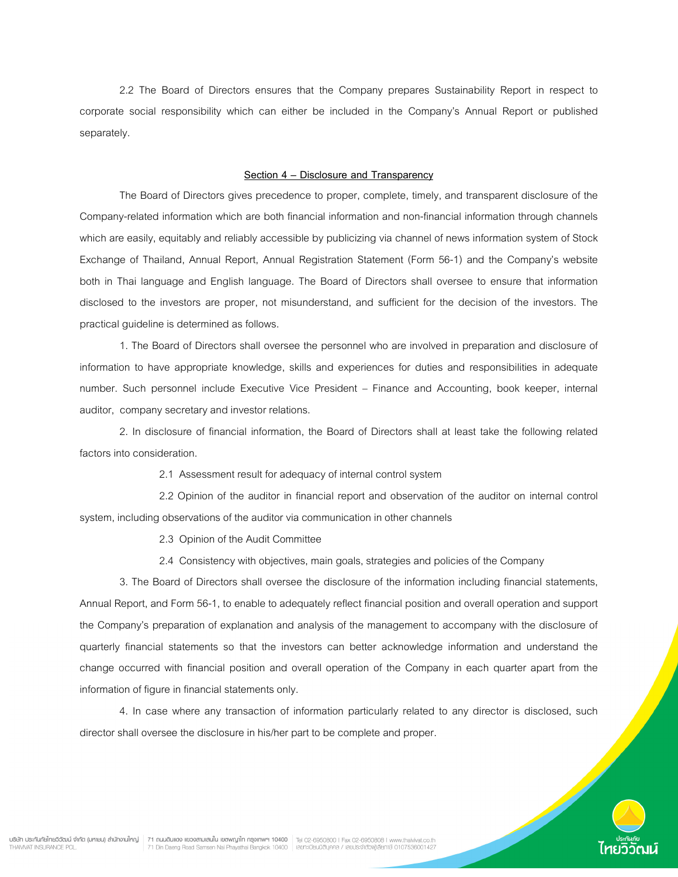2.2 The Board of Directors ensures that the Company prepares Sustainability Report in respect to corporate social responsibility which can either be included in the Company's Annual Report or published separately.

#### Section 4 – Disclosure and Transparency

 The Board of Directors gives precedence to proper, complete, timely, and transparent disclosure of the Company-related information which are both financial information and non-financial information through channels which are easily, equitably and reliably accessible by publicizing via channel of news information system of Stock Exchange of Thailand, Annual Report, Annual Registration Statement (Form 56-1) and the Company's website both in Thai language and English language. The Board of Directors shall oversee to ensure that information disclosed to the investors are proper, not misunderstand, and sufficient for the decision of the investors. The practical guideline is determined as follows.

1. The Board of Directors shall oversee the personnel who are involved in preparation and disclosure of information to have appropriate knowledge, skills and experiences for duties and responsibilities in adequate number. Such personnel include Executive Vice President – Finance and Accounting, book keeper, internal auditor, company secretary and investor relations.

2. In disclosure of financial information, the Board of Directors shall at least take the following related factors into consideration.

2.1 Assessment result for adequacy of internal control system

 2.2 Opinion of the auditor in financial report and observation of the auditor on internal control system, including observations of the auditor via communication in other channels

2.3 Opinion of the Audit Committee

2.4 Consistency with objectives, main goals, strategies and policies of the Company

3. The Board of Directors shall oversee the disclosure of the information including financial statements, Annual Report, and Form 56-1, to enable to adequately reflect financial position and overall operation and support the Company's preparation of explanation and analysis of the management to accompany with the disclosure of quarterly financial statements so that the investors can better acknowledge information and understand the change occurred with financial position and overall operation of the Company in each quarter apart from the information of figure in financial statements only.

4. In case where any transaction of information particularly related to any director is disclosed, such director shall oversee the disclosure in his/her part to be complete and proper.

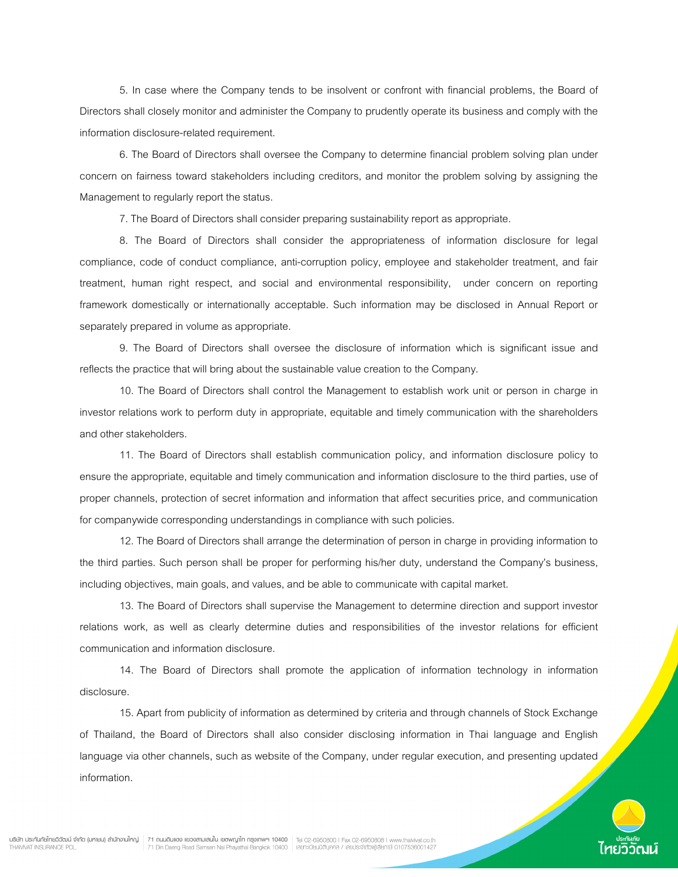5. In case where the Company tends to be insolvent or confront with financial problems, the Board of Directors shall closely monitor and administer the Company to prudently operate its business and comply with the information disclosure-related requirement.

6. The Board of Directors shall oversee the Company to determine financial problem solving plan under concern on fairness toward stakeholders including creditors, and monitor the problem solving by assigning the Management to regularly report the status.

7. The Board of Directors shall consider preparing sustainability report as appropriate.

8. The Board of Directors shall consider the appropriateness of information disclosure for legal compliance, code of conduct compliance, anti-corruption policy, employee and stakeholder treatment, and fair treatment, human right respect, and social and environmental responsibility, under concern on reporting framework domestically or internationally acceptable. Such information may be disclosed in Annual Report or separately prepared in volume as appropriate.

9. The Board of Directors shall oversee the disclosure of information which is significant issue and reflects the practice that will bring about the sustainable value creation to the Company.

10. The Board of Directors shall control the Management to establish work unit or person in charge in investor relations work to perform duty in appropriate, equitable and timely communication with the shareholders and other stakeholders.

11. The Board of Directors shall establish communication policy, and information disclosure policy to ensure the appropriate, equitable and timely communication and information disclosure to the third parties, use of proper channels, protection of secret information and information that affect securities price, and communication for companywide corresponding understandings in compliance with such policies.

12. The Board of Directors shall arrange the determination of person in charge in providing information to the third parties. Such person shall be proper for performing his/her duty, understand the Company's business, including objectives, main goals, and values, and be able to communicate with capital market.

 13. The Board of Directors shall supervise the Management to determine direction and support investor relations work, as well as clearly determine duties and responsibilities of the investor relations for efficient communication and information disclosure.

14. The Board of Directors shall promote the application of information technology in information disclosure.

15. Apart from publicity of information as determined by criteria and through channels of Stock Exchange of Thailand, the Board of Directors shall also consider disclosing information in Thai language and English language via other channels, such as website of the Company, under regular execution, and presenting updated information.

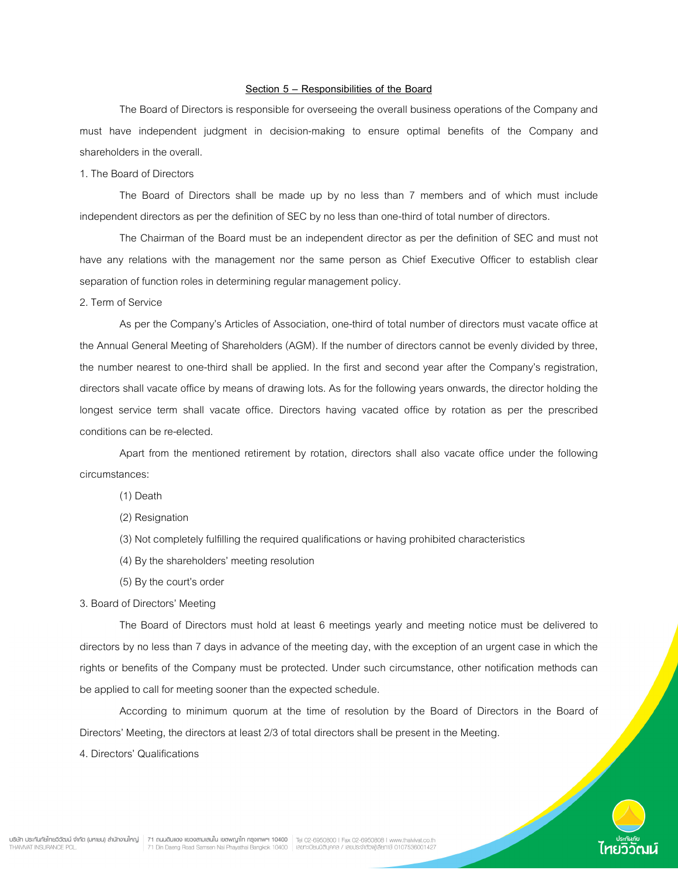### Section 5 – Responsibilities of the Board

 The Board of Directors is responsible for overseeing the overall business operations of the Company and must have independent judgment in decision-making to ensure optimal benefits of the Company and shareholders in the overall.

# 1. The Board of Directors

 The Board of Directors shall be made up by no less than 7 members and of which must include independent directors as per the definition of SEC by no less than one-third of total number of directors.

 The Chairman of the Board must be an independent director as per the definition of SEC and must not have any relations with the management nor the same person as Chief Executive Officer to establish clear separation of function roles in determining regular management policy.

2. Term of Service

 As per the Company's Articles of Association, one-third of total number of directors must vacate office at the Annual General Meeting of Shareholders (AGM). If the number of directors cannot be evenly divided by three, the number nearest to one-third shall be applied. In the first and second year after the Company's registration, directors shall vacate office by means of drawing lots. As for the following years onwards, the director holding the longest service term shall vacate office. Directors having vacated office by rotation as per the prescribed conditions can be re-elected.

 Apart from the mentioned retirement by rotation, directors shall also vacate office under the following circumstances:

(1) Death

(2) Resignation

- (3) Not completely fulfilling the required qualifications or having prohibited characteristics
- (4) By the shareholders' meeting resolution
- (5) By the court's order
- 3. Board of Directors' Meeting

 The Board of Directors must hold at least 6 meetings yearly and meeting notice must be delivered to directors by no less than 7 days in advance of the meeting day, with the exception of an urgent case in which the rights or benefits of the Company must be protected. Under such circumstance, other notification methods can be applied to call for meeting sooner than the expected schedule.

According to minimum quorum at the time of resolution by the Board of Directors in the Board of Directors' Meeting, the directors at least 2/3 of total directors shall be present in the Meeting.

4. Directors' Qualifications

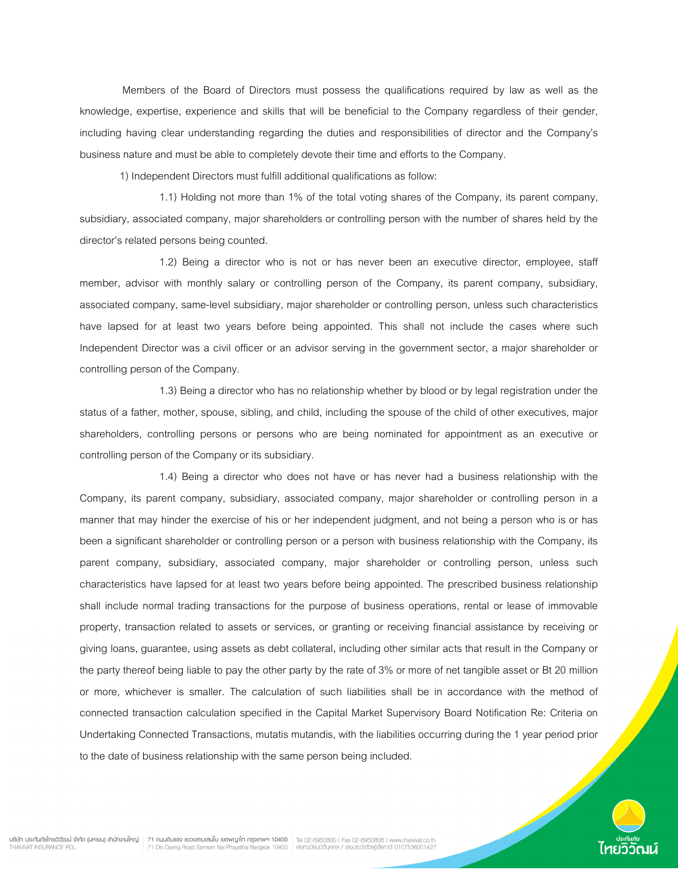Members of the Board of Directors must possess the qualifications required by law as well as the knowledge, expertise, experience and skills that will be beneficial to the Company regardless of their gender, including having clear understanding regarding the duties and responsibilities of director and the Company's business nature and must be able to completely devote their time and efforts to the Company.

1) Independent Directors must fulfill additional qualifications as follow:

 1.1) Holding not more than 1% of the total voting shares of the Company, its parent company, subsidiary, associated company, major shareholders or controlling person with the number of shares held by the director's related persons being counted.

 1.2) Being a director who is not or has never been an executive director, employee, staff member, advisor with monthly salary or controlling person of the Company, its parent company, subsidiary, associated company, same-level subsidiary, major shareholder or controlling person, unless such characteristics have lapsed for at least two years before being appointed. This shall not include the cases where such Independent Director was a civil officer or an advisor serving in the government sector, a major shareholder or controlling person of the Company.

 1.3) Being a director who has no relationship whether by blood or by legal registration under the status of a father, mother, spouse, sibling, and child, including the spouse of the child of other executives, major shareholders, controlling persons or persons who are being nominated for appointment as an executive or controlling person of the Company or its subsidiary.

 1.4) Being a director who does not have or has never had a business relationship with the Company, its parent company, subsidiary, associated company, major shareholder or controlling person in a manner that may hinder the exercise of his or her independent judgment, and not being a person who is or has been a significant shareholder or controlling person or a person with business relationship with the Company, its parent company, subsidiary, associated company, major shareholder or controlling person, unless such characteristics have lapsed for at least two years before being appointed. The prescribed business relationship shall include normal trading transactions for the purpose of business operations, rental or lease of immovable property, transaction related to assets or services, or granting or receiving financial assistance by receiving or giving loans, guarantee, using assets as debt collateral, including other similar acts that result in the Company or the party thereof being liable to pay the other party by the rate of 3% or more of net tangible asset or Bt 20 million or more, whichever is smaller. The calculation of such liabilities shall be in accordance with the method of connected transaction calculation specified in the Capital Market Supervisory Board Notification Re: Criteria on Undertaking Connected Transactions, mutatis mutandis, with the liabilities occurring during the 1 year period prior to the date of business relationship with the same person being included.



น**ริษัท ประกันทัยไทยวิวัฒน์ จำกัด (มหายน) สำนักงานใหญ่ 71 ถนนดินแดง แขวงสามเสนใน เขตพญาไท ครูงเทพฯ 10400 | Tel 02-6950800 l Fax 02-6950808 l www.thaivivat.co.th<br>THAVIVAT INSURANCE PCL.**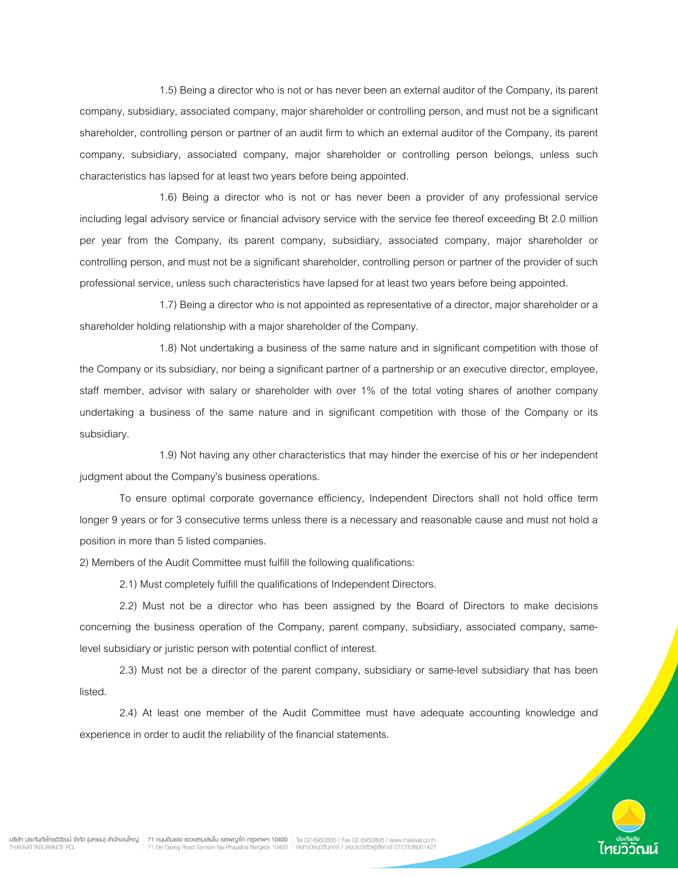1.5) Being a director who is not or has never been an external auditor of the Company, its parent company, subsidiary, associated company, major shareholder or controlling person, and must not be a significant shareholder, controlling person or partner of an audit firm to which an external auditor of the Company, its parent company, subsidiary, associated company, major shareholder or controlling person belongs, unless such characteristics has lapsed for at least two years before being appointed.

 1.6) Being a director who is not or has never been a provider of any professional service including legal advisory service or financial advisory service with the service fee thereof exceeding Bt 2.0 million per year from the Company, its parent company, subsidiary, associated company, major shareholder or controlling person, and must not be a significant shareholder, controlling person or partner of the provider of such professional service, unless such characteristics have lapsed for at least two years before being appointed.

 1.7) Being a director who is not appointed as representative of a director, major shareholder or a shareholder holding relationship with a major shareholder of the Company.

 1.8) Not undertaking a business of the same nature and in significant competition with those of the Company or its subsidiary, nor being a significant partner of a partnership or an executive director, employee, staff member, advisor with salary or shareholder with over 1% of the total voting shares of another company undertaking a business of the same nature and in significant competition with those of the Company or its subsidiary.

 1.9) Not having any other characteristics that may hinder the exercise of his or her independent judgment about the Company's business operations.

 To ensure optimal corporate governance efficiency, Independent Directors shall not hold office term longer 9 years or for 3 consecutive terms unless there is a necessary and reasonable cause and must not hold a position in more than 5 listed companies.

2) Members of the Audit Committee must fulfill the following qualifications:

2.1) Must completely fulfill the qualifications of Independent Directors.

 2.2) Must not be a director who has been assigned by the Board of Directors to make decisions concerning the business operation of the Company, parent company, subsidiary, associated company, samelevel subsidiary or juristic person with potential conflict of interest.

 2.3) Must not be a director of the parent company, subsidiary or same-level subsidiary that has been listed.

 2.4) At least one member of the Audit Committee must have adequate accounting knowledge and experience in order to audit the reliability of the financial statements.

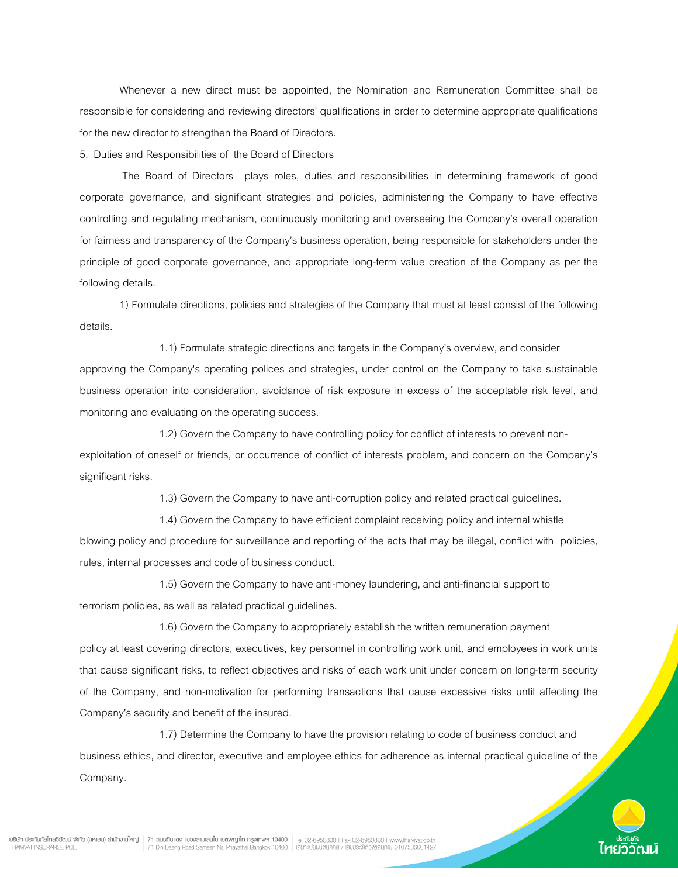Whenever a new direct must be appointed, the Nomination and Remuneration Committee shall be responsible for considering and reviewing directors' qualifications in order to determine appropriate qualifications for the new director to strengthen the Board of Directors.

5. Duties and Responsibilities of the Board of Directors

 The Board of Directors plays roles, duties and responsibilities in determining framework of good corporate governance, and significant strategies and policies, administering the Company to have effective controlling and regulating mechanism, continuously monitoring and overseeing the Company's overall operation for fairness and transparency of the Company's business operation, being responsible for stakeholders under the principle of good corporate governance, and appropriate long-term value creation of the Company as per the following details.

1) Formulate directions, policies and strategies of the Company that must at least consist of the following details.

1.1) Formulate strategic directions and targets in the Company's overview, and consider approving the Company's operating polices and strategies, under control on the Company to take sustainable business operation into consideration, avoidance of risk exposure in excess of the acceptable risk level, and monitoring and evaluating on the operating success.

1.2) Govern the Company to have controlling policy for conflict of interests to prevent nonexploitation of oneself or friends, or occurrence of conflict of interests problem, and concern on the Company's significant risks.

1.3) Govern the Company to have anti-corruption policy and related practical guidelines.

1.4) Govern the Company to have efficient complaint receiving policy and internal whistle blowing policy and procedure for surveillance and reporting of the acts that may be illegal, conflict with policies, rules, internal processes and code of business conduct.

1.5) Govern the Company to have anti-money laundering, and anti-financial support to terrorism policies, as well as related practical guidelines.

1.6) Govern the Company to appropriately establish the written remuneration payment policy at least covering directors, executives, key personnel in controlling work unit, and employees in work units that cause significant risks, to reflect objectives and risks of each work unit under concern on long-term security of the Company, and non-motivation for performing transactions that cause excessive risks until affecting the Company's security and benefit of the insured.

1.7) Determine the Company to have the provision relating to code of business conduct and business ethics, and director, executive and employee ethics for adherence as internal practical guideline of the Company.

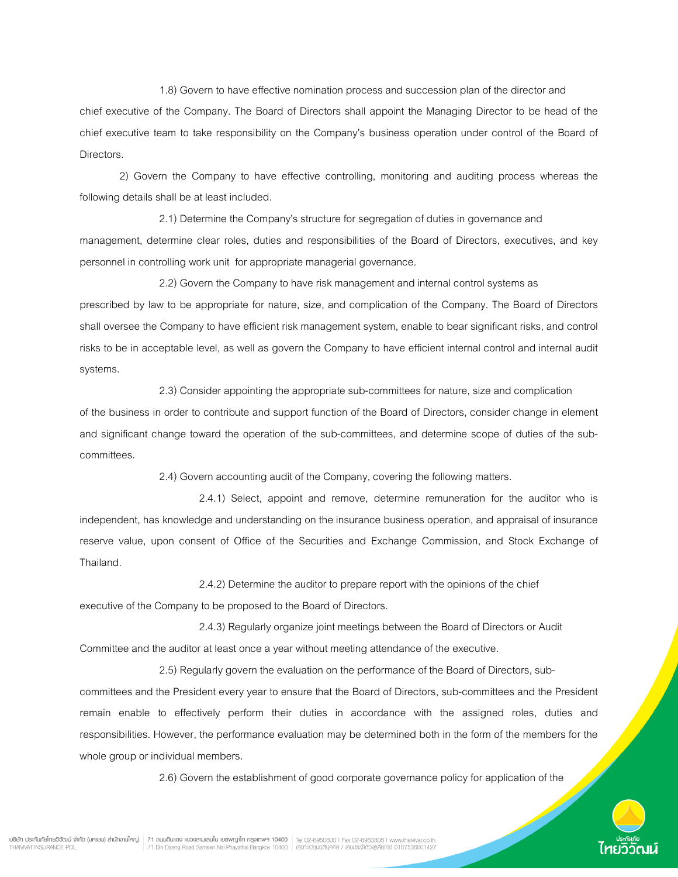1.8) Govern to have effective nomination process and succession plan of the director and

chief executive of the Company. The Board of Directors shall appoint the Managing Director to be head of the chief executive team to take responsibility on the Company's business operation under control of the Board of Directors.

2) Govern the Company to have effective controlling, monitoring and auditing process whereas the following details shall be at least included.

2.1) Determine the Company's structure for segregation of duties in governance and management, determine clear roles, duties and responsibilities of the Board of Directors, executives, and key personnel in controlling work unit for appropriate managerial governance.

2.2) Govern the Company to have risk management and internal control systems as prescribed by law to be appropriate for nature, size, and complication of the Company. The Board of Directors shall oversee the Company to have efficient risk management system, enable to bear significant risks, and control risks to be in acceptable level, as well as govern the Company to have efficient internal control and internal audit systems.

2.3) Consider appointing the appropriate sub-committees for nature, size and complication of the business in order to contribute and support function of the Board of Directors, consider change in element and significant change toward the operation of the sub-committees, and determine scope of duties of the subcommittees.

2.4) Govern accounting audit of the Company, covering the following matters.

 2.4.1) Select, appoint and remove, determine remuneration for the auditor who is independent, has knowledge and understanding on the insurance business operation, and appraisal of insurance reserve value, upon consent of Office of the Securities and Exchange Commission, and Stock Exchange of Thailand.

2.4.2) Determine the auditor to prepare report with the opinions of the chief executive of the Company to be proposed to the Board of Directors.

2.4.3) Regularly organize joint meetings between the Board of Directors or Audit Committee and the auditor at least once a year without meeting attendance of the executive.

2.5) Regularly govern the evaluation on the performance of the Board of Directors, subcommittees and the President every year to ensure that the Board of Directors, sub-committees and the President remain enable to effectively perform their duties in accordance with the assigned roles, duties and responsibilities. However, the performance evaluation may be determined both in the form of the members for the whole group or individual members.

2.6) Govern the establishment of good corporate governance policy for application of the

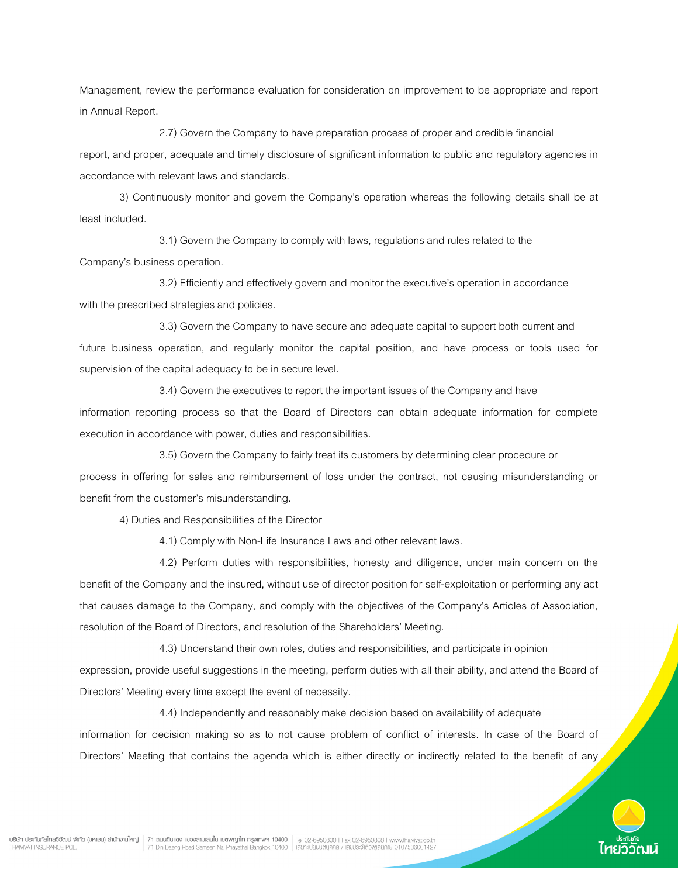Management, review the performance evaluation for consideration on improvement to be appropriate and report in Annual Report.

2.7) Govern the Company to have preparation process of proper and credible financial report, and proper, adequate and timely disclosure of significant information to public and regulatory agencies in accordance with relevant laws and standards.

3) Continuously monitor and govern the Company's operation whereas the following details shall be at least included.

3.1) Govern the Company to comply with laws, regulations and rules related to the Company's business operation.

3.2) Efficiently and effectively govern and monitor the executive's operation in accordance with the prescribed strategies and policies.

3.3) Govern the Company to have secure and adequate capital to support both current and future business operation, and regularly monitor the capital position, and have process or tools used for supervision of the capital adequacy to be in secure level.

3.4) Govern the executives to report the important issues of the Company and have information reporting process so that the Board of Directors can obtain adequate information for complete execution in accordance with power, duties and responsibilities.

3.5) Govern the Company to fairly treat its customers by determining clear procedure or process in offering for sales and reimbursement of loss under the contract, not causing misunderstanding or benefit from the customer's misunderstanding.

4) Duties and Responsibilities of the Director

4.1) Comply with Non-Life Insurance Laws and other relevant laws.

 4.2) Perform duties with responsibilities, honesty and diligence, under main concern on the benefit of the Company and the insured, without use of director position for self-exploitation or performing any act that causes damage to the Company, and comply with the objectives of the Company's Articles of Association, resolution of the Board of Directors, and resolution of the Shareholders' Meeting.

4.3) Understand their own roles, duties and responsibilities, and participate in opinion expression, provide useful suggestions in the meeting, perform duties with all their ability, and attend the Board of Directors' Meeting every time except the event of necessity.

4.4) Independently and reasonably make decision based on availability of adequate information for decision making so as to not cause problem of conflict of interests. In case of the Board of

Directors' Meeting that contains the agenda which is either directly or indirectly related to the benefit of any

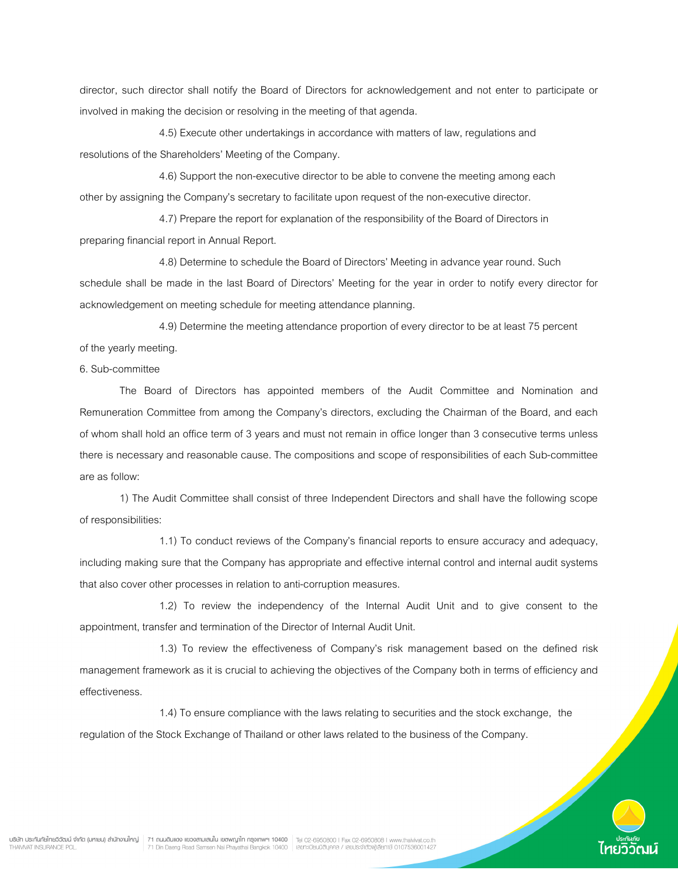director, such director shall notify the Board of Directors for acknowledgement and not enter to participate or involved in making the decision or resolving in the meeting of that agenda.

4.5) Execute other undertakings in accordance with matters of law, regulations and resolutions of the Shareholders' Meeting of the Company.

4.6) Support the non-executive director to be able to convene the meeting among each other by assigning the Company's secretary to facilitate upon request of the non-executive director.

4.7) Prepare the report for explanation of the responsibility of the Board of Directors in preparing financial report in Annual Report.

4.8) Determine to schedule the Board of Directors' Meeting in advance year round. Such schedule shall be made in the last Board of Directors' Meeting for the year in order to notify every director for acknowledgement on meeting schedule for meeting attendance planning.

4.9) Determine the meeting attendance proportion of every director to be at least 75 percent of the yearly meeting.

6. Sub-committee

 The Board of Directors has appointed members of the Audit Committee and Nomination and Remuneration Committee from among the Company's directors, excluding the Chairman of the Board, and each of whom shall hold an office term of 3 years and must not remain in office longer than 3 consecutive terms unless there is necessary and reasonable cause. The compositions and scope of responsibilities of each Sub-committee are as follow:

 1) The Audit Committee shall consist of three Independent Directors and shall have the following scope of responsibilities:

 1.1) To conduct reviews of the Company's financial reports to ensure accuracy and adequacy, including making sure that the Company has appropriate and effective internal control and internal audit systems that also cover other processes in relation to anti-corruption measures.

 1.2) To review the independency of the Internal Audit Unit and to give consent to the appointment, transfer and termination of the Director of Internal Audit Unit.

 1.3) To review the effectiveness of Company's risk management based on the defined risk management framework as it is crucial to achieving the objectives of the Company both in terms of efficiency and effectiveness.

 1.4) To ensure compliance with the laws relating to securities and the stock exchange, the regulation of the Stock Exchange of Thailand or other laws related to the business of the Company.

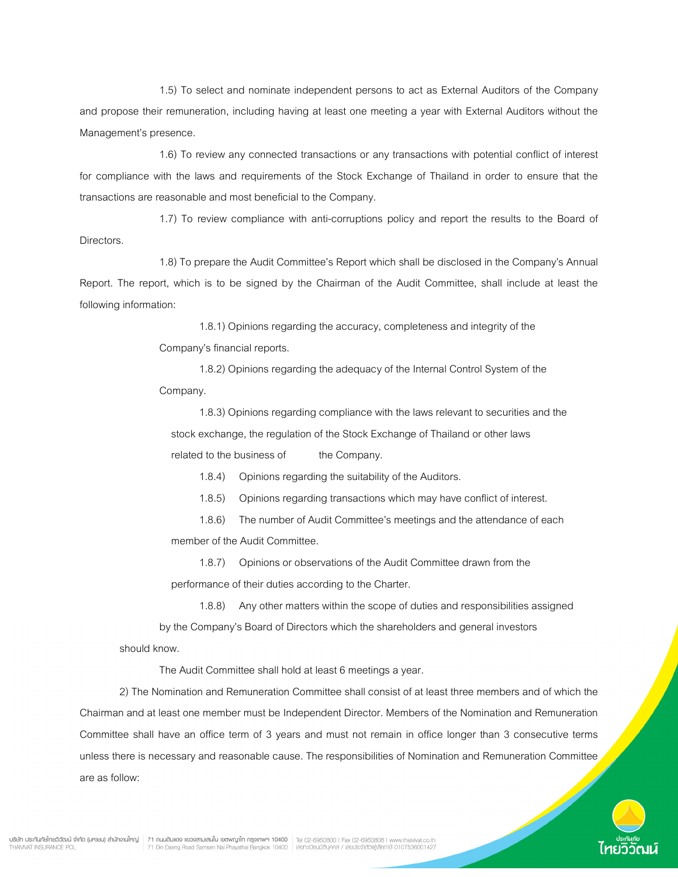1.5) To select and nominate independent persons to act as External Auditors of the Company and propose their remuneration, including having at least one meeting a year with External Auditors without the Management's presence.

 1.6) To review any connected transactions or any transactions with potential conflict of interest for compliance with the laws and requirements of the Stock Exchange of Thailand in order to ensure that the transactions are reasonable and most beneficial to the Company.

 1.7) To review compliance with anti-corruptions policy and report the results to the Board of Directors.

 1.8) To prepare the Audit Committee's Report which shall be disclosed in the Company's Annual Report. The report, which is to be signed by the Chairman of the Audit Committee, shall include at least the following information:

1.8.1) Opinions regarding the accuracy, completeness and integrity of the

Company's financial reports.

 1.8.2) Opinions regarding the adequacy of the Internal Control System of the Company.

 1.8.3) Opinions regarding compliance with the laws relevant to securities and the stock exchange, the regulation of the Stock Exchange of Thailand or other laws related to the business of the Company.

1.8.4) Opinions regarding the suitability of the Auditors.

1.8.5) Opinions regarding transactions which may have conflict of interest.

 1.8.6) The number of Audit Committee's meetings and the attendance of each member of the Audit Committee.

 1.8.7) Opinions or observations of the Audit Committee drawn from the performance of their duties according to the Charter.

1.8.8) Any other matters within the scope of duties and responsibilities assigned

 by the Company's Board of Directors which the shareholders and general investors should know.

The Audit Committee shall hold at least 6 meetings a year.

 2) The Nomination and Remuneration Committee shall consist of at least three members and of which the Chairman and at least one member must be Independent Director. Members of the Nomination and Remuneration Committee shall have an office term of 3 years and must not remain in office longer than 3 consecutive terms unless there is necessary and reasonable cause. The responsibilities of Nomination and Remuneration Committee are as follow:

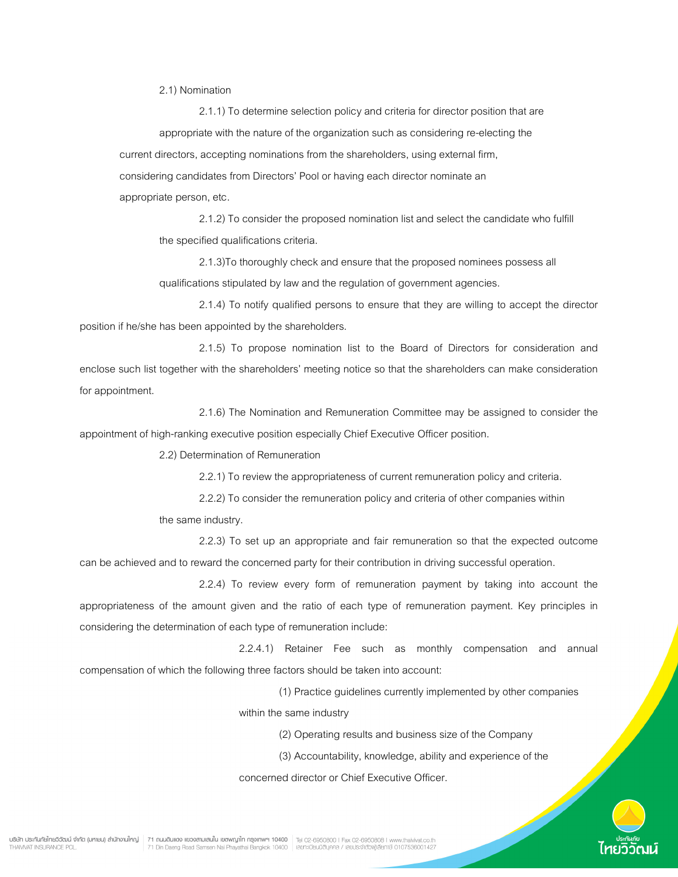2.1) Nomination

 2.1.1) To determine selection policy and criteria for director position that are appropriate with the nature of the organization such as considering re-electing the current directors, accepting nominations from the shareholders, using external firm, considering candidates from Directors' Pool or having each director nominate an appropriate person, etc.

 2.1.2) To consider the proposed nomination list and select the candidate who fulfill the specified qualifications criteria.

 2.1.3)To thoroughly check and ensure that the proposed nominees possess all qualifications stipulated by law and the regulation of government agencies.

 2.1.4) To notify qualified persons to ensure that they are willing to accept the director position if he/she has been appointed by the shareholders.

 2.1.5) To propose nomination list to the Board of Directors for consideration and enclose such list together with the shareholders' meeting notice so that the shareholders can make consideration for appointment.

 2.1.6) The Nomination and Remuneration Committee may be assigned to consider the appointment of high-ranking executive position especially Chief Executive Officer position.

2.2) Determination of Remuneration

2.2.1) To review the appropriateness of current remuneration policy and criteria.

2.2.2) To consider the remuneration policy and criteria of other companies within

the same industry.

 2.2.3) To set up an appropriate and fair remuneration so that the expected outcome can be achieved and to reward the concerned party for their contribution in driving successful operation.

 2.2.4) To review every form of remuneration payment by taking into account the appropriateness of the amount given and the ratio of each type of remuneration payment. Key principles in considering the determination of each type of remuneration include:

 2.2.4.1) Retainer Fee such as monthly compensation and annual compensation of which the following three factors should be taken into account:

(1) Practice guidelines currently implemented by other companies

within the same industry

(2) Operating results and business size of the Company

(3) Accountability, knowledge, ability and experience of the

concerned director or Chief Executive Officer.

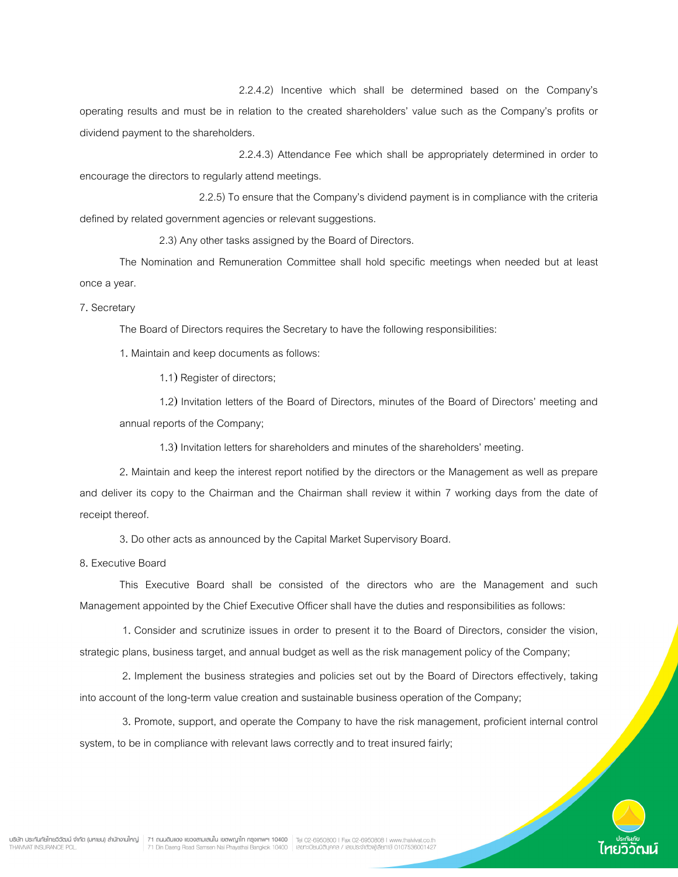2.2.4.2) Incentive which shall be determined based on the Company's

operating results and must be in relation to the created shareholders' value such as the Company's profits or dividend payment to the shareholders.

 2.2.4.3) Attendance Fee which shall be appropriately determined in order to encourage the directors to regularly attend meetings.

 2.2.5) To ensure that the Company's dividend payment is in compliance with the criteria defined by related government agencies or relevant suggestions.

2.3) Any other tasks assigned by the Board of Directors.

 The Nomination and Remuneration Committee shall hold specific meetings when needed but at least once a year.

7. Secretary

The Board of Directors requires the Secretary to have the following responsibilities:

1. Maintain and keep documents as follows:

1.1) Register of directors;

1.2) Invitation letters of the Board of Directors, minutes of the Board of Directors' meeting and annual reports of the Company;

1.3) Invitation letters for shareholders and minutes of the shareholders' meeting.

2. Maintain and keep the interest report notified by the directors or the Management as well as prepare and deliver its copy to the Chairman and the Chairman shall review it within 7 working days from the date of receipt thereof.

3. Do other acts as announced by the Capital Market Supervisory Board.

8. Executive Board

This Executive Board shall be consisted of the directors who are the Management and such Management appointed by the Chief Executive Officer shall have the duties and responsibilities as follows:

 1. Consider and scrutinize issues in order to present it to the Board of Directors, consider the vision, strategic plans, business target, and annual budget as well as the risk management policy of the Company;

 2. Implement the business strategies and policies set out by the Board of Directors effectively, taking into account of the long-term value creation and sustainable business operation of the Company;

 3. Promote, support, and operate the Company to have the risk management, proficient internal control system, to be in compliance with relevant laws correctly and to treat insured fairly;